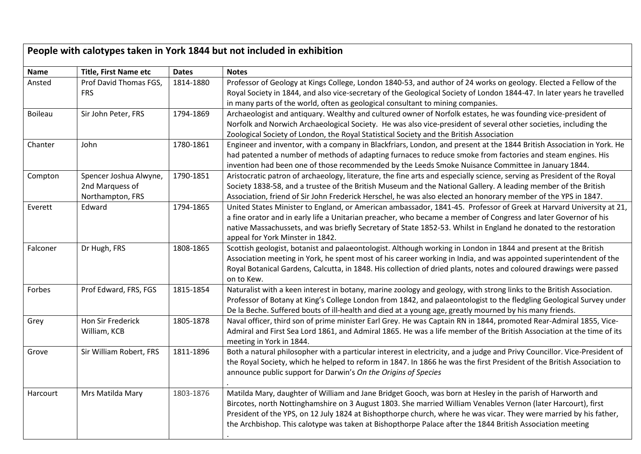| People with calotypes taken in York 1844 but not included in exhibition |                                                               |              |                                                                                                                                                                                                                                                                                                                                                                                                                                                                |  |
|-------------------------------------------------------------------------|---------------------------------------------------------------|--------------|----------------------------------------------------------------------------------------------------------------------------------------------------------------------------------------------------------------------------------------------------------------------------------------------------------------------------------------------------------------------------------------------------------------------------------------------------------------|--|
| Name                                                                    | <b>Title, First Name etc</b>                                  | <b>Dates</b> | <b>Notes</b>                                                                                                                                                                                                                                                                                                                                                                                                                                                   |  |
| Ansted                                                                  | Prof David Thomas FGS,<br><b>FRS</b>                          | 1814-1880    | Professor of Geology at Kings College, London 1840-53, and author of 24 works on geology. Elected a Fellow of the<br>Royal Society in 1844, and also vice-secretary of the Geological Society of London 1844-47. In later years he travelled<br>in many parts of the world, often as geological consultant to mining companies.                                                                                                                                |  |
| <b>Boileau</b>                                                          | Sir John Peter, FRS                                           | 1794-1869    | Archaeologist and antiquary. Wealthy and cultured owner of Norfolk estates, he was founding vice-president of<br>Norfolk and Norwich Archaeological Society. He was also vice-president of several other societies, including the<br>Zoological Society of London, the Royal Statistical Society and the British Association                                                                                                                                   |  |
| Chanter                                                                 | John                                                          | 1780-1861    | Engineer and inventor, with a company in Blackfriars, London, and present at the 1844 British Association in York. He<br>had patented a number of methods of adapting furnaces to reduce smoke from factories and steam engines. His<br>invention had been one of those recommended by the Leeds Smoke Nuisance Committee in January 1844.                                                                                                                     |  |
| Compton                                                                 | Spencer Joshua Alwyne,<br>2nd Marquess of<br>Northampton, FRS | 1790-1851    | Aristocratic patron of archaeology, literature, the fine arts and especially science, serving as President of the Royal<br>Society 1838-58, and a trustee of the British Museum and the National Gallery. A leading member of the British<br>Association, friend of Sir John Frederick Herschel, he was also elected an honorary member of the YPS in 1847.                                                                                                    |  |
| Everett                                                                 | Edward                                                        | 1794-1865    | United States Minister to England, or American ambassador, 1841-45. Professor of Greek at Harvard University at 21,<br>a fine orator and in early life a Unitarian preacher, who became a member of Congress and later Governor of his<br>native Massachussets, and was briefly Secretary of State 1852-53. Whilst in England he donated to the restoration<br>appeal for York Minster in 1842.                                                                |  |
| Falconer                                                                | Dr Hugh, FRS                                                  | 1808-1865    | Scottish geologist, botanist and palaeontologist. Although working in London in 1844 and present at the British<br>Association meeting in York, he spent most of his career working in India, and was appointed superintendent of the<br>Royal Botanical Gardens, Calcutta, in 1848. His collection of dried plants, notes and coloured drawings were passed<br>on to Kew.                                                                                     |  |
| Forbes                                                                  | Prof Edward, FRS, FGS                                         | 1815-1854    | Naturalist with a keen interest in botany, marine zoology and geology, with strong links to the British Association.<br>Professor of Botany at King's College London from 1842, and palaeontologist to the fledgling Geological Survey under<br>De la Beche. Suffered bouts of ill-health and died at a young age, greatly mourned by his many friends.                                                                                                        |  |
| Grey                                                                    | Hon Sir Frederick<br>William, KCB                             | 1805-1878    | Naval officer, third son of prime minister Earl Grey. He was Captain RN in 1844, promoted Rear-Admiral 1855, Vice-<br>Admiral and First Sea Lord 1861, and Admiral 1865. He was a life member of the British Association at the time of its<br>meeting in York in 1844.                                                                                                                                                                                        |  |
| Grove                                                                   | Sir William Robert, FRS                                       | 1811-1896    | Both a natural philosopher with a particular interest in electricity, and a judge and Privy Councillor. Vice-President of<br>the Royal Society, which he helped to reform in 1847. In 1866 he was the first President of the British Association to<br>announce public support for Darwin's On the Origins of Species                                                                                                                                          |  |
| Harcourt                                                                | Mrs Matilda Mary                                              | 1803-1876    | Matilda Mary, daughter of William and Jane Bridget Gooch, was born at Hesley in the parish of Harworth and<br>Bircotes, north Nottinghamshire on 3 August 1803. She married William Venables Vernon (later Harcourt), first<br>President of the YPS, on 12 July 1824 at Bishopthorpe church, where he was vicar. They were married by his father,<br>the Archbishop. This calotype was taken at Bishopthorpe Palace after the 1844 British Association meeting |  |